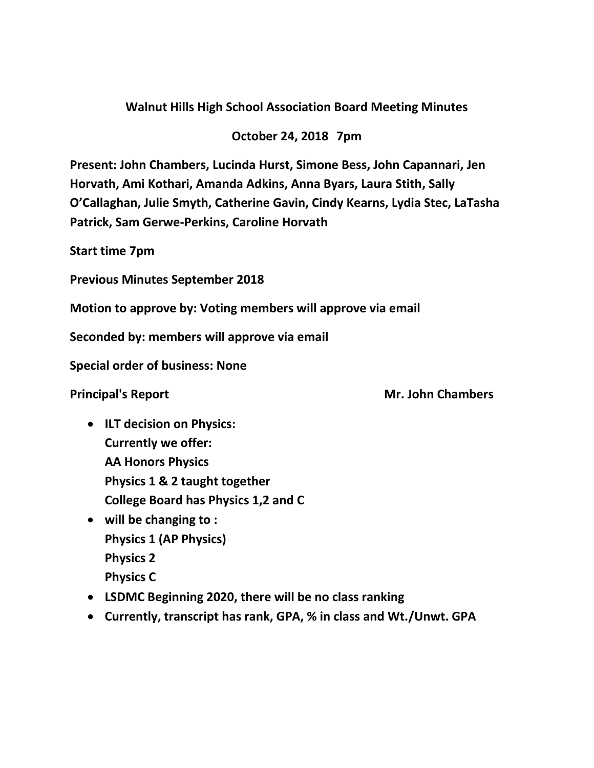## **Walnut Hills High School Association Board Meeting Minutes**

## **October 24, 2018 7pm**

**Present: John Chambers, Lucinda Hurst, Simone Bess, John Capannari, Jen Horvath, Ami Kothari, Amanda Adkins, Anna Byars, Laura Stith, Sally O'Callaghan, Julie Smyth, Catherine Gavin, Cindy Kearns, Lydia Stec, LaTasha Patrick, Sam Gerwe-Perkins, Caroline Horvath**

**Start time 7pm**

**Previous Minutes September 2018**

**Motion to approve by: Voting members will approve via email** 

**Seconded by: members will approve via email**

**Special order of business: None**

**Principal's Report Mr. John Chambers** 

- **ILT decision on Physics: Currently we offer: AA Honors Physics Physics 1 & 2 taught together College Board has Physics 1,2 and C**
- **will be changing to : Physics 1 (AP Physics) Physics 2 Physics C**
- **LSDMC Beginning 2020, there will be no class ranking**
- **Currently, transcript has rank, GPA, % in class and Wt./Unwt. GPA**